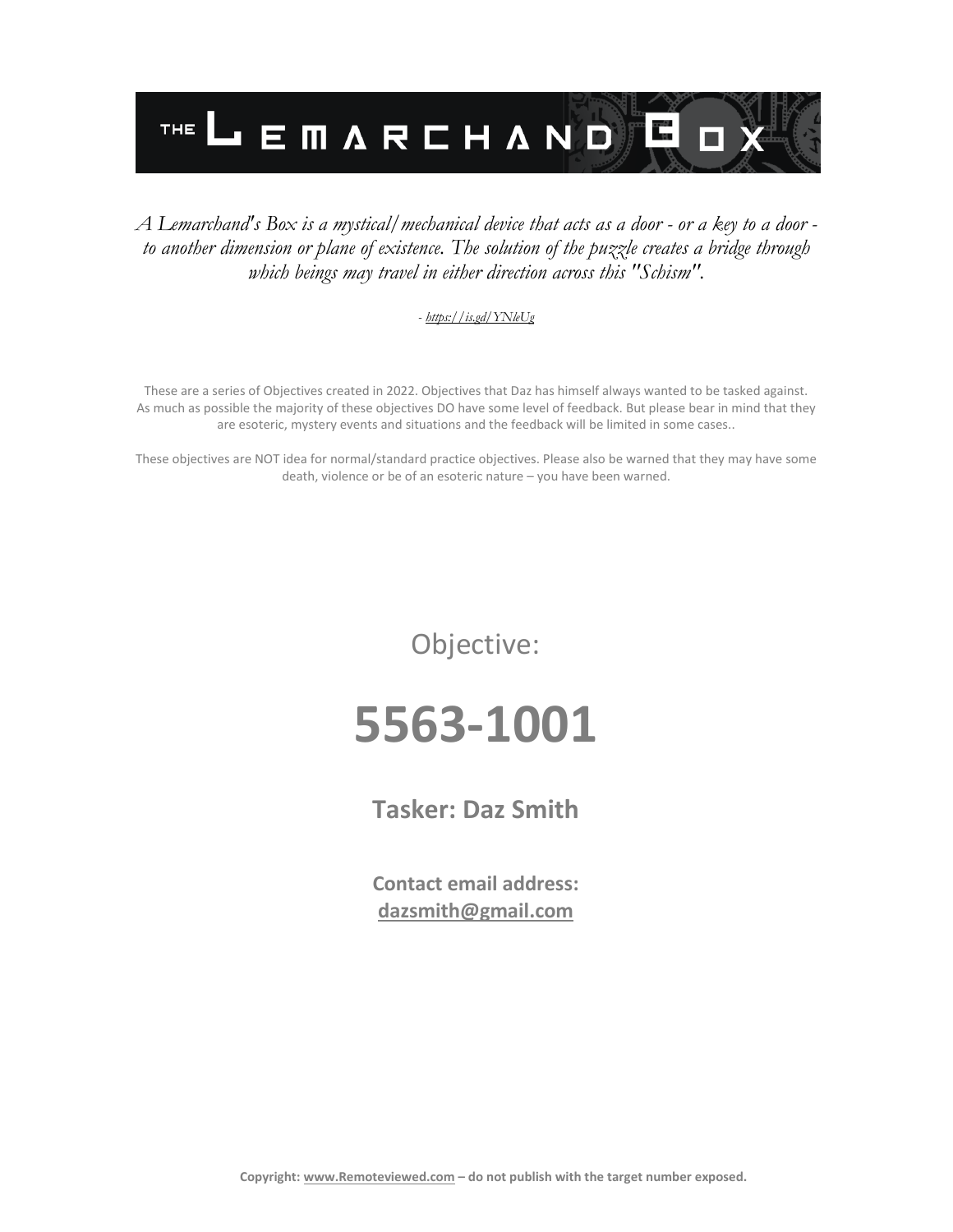

### *A Lemarchand's Box is a mystical/mechanical device that acts as a door - or a key to a door to another dimension or plane of existence. The solution of the puzzle creates a bridge through which beings may travel in either direction across this "Schism".*

#### *- <https://is.gd/YNleUg>*

These are a series of Objectives created in 2022. Objectives that Daz has himself always wanted to be tasked against. As much as possible the majority of these objectives DO have some level of feedback. But please bear in mind that they are esoteric, mystery events and situations and the feedback will be limited in some cases..

These objectives are NOT idea for normal/standard practice objectives. Please also be warned that they may have some death, violence or be of an esoteric nature – you have been warned.

Objective:

# **5563-1001**

**Tasker: Daz Smith**

**Contact email address: [dazsmith@gmail.com](mailto:dazsmith@gmail.com)**